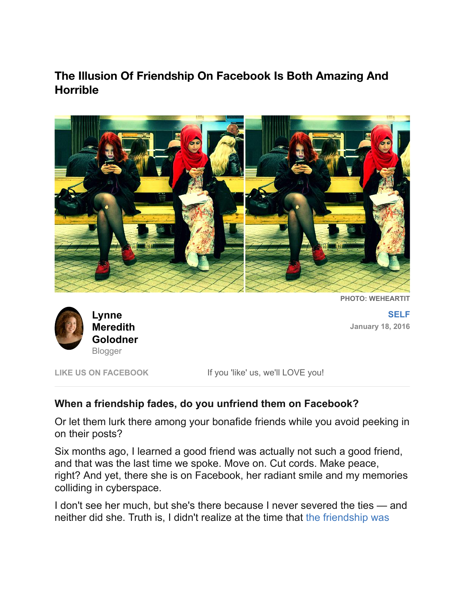## **The Illusion Of Friendship On Facebook Is Both Amazing And Horrible**



**PHOTO: WEHEARTIT**



**[SELF](http://www.yourtango.com/self) January 18, 2016**

LIKE US ON FACEBOOK If you 'like' us, we'll LOVE you!

### **When a friendship fades, do you unfriend them on Facebook?**

Or let them lurk there among your bonafide friends while you avoid peeking in on their posts?

Six months ago, I learned a good friend was actually not such a good friend, and that was the last time we spoke. Move on. Cut cords. Make peace, right? And yet, there she is on Facebook, her radiant smile and my memories colliding in cyberspace.

I don't see her much, but she's there because I never severed the ties — and [neither did she. Truth is, I didn't realize at the time that the friendship was](http://www.yourtango.com/2013190143/37-friendship-quotes-famous-inspirational-best-friends-sayings)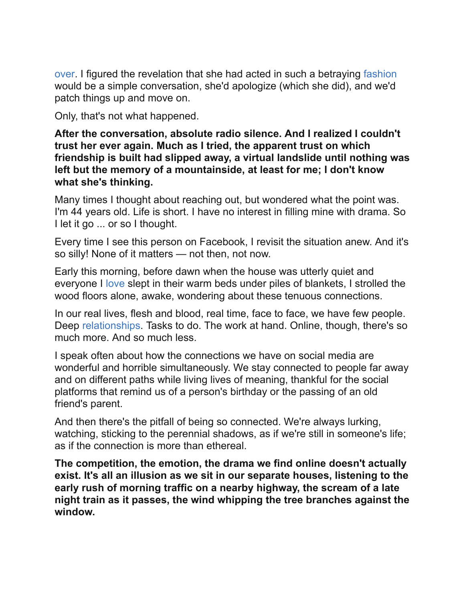[over. I figured the revelation that she had acted in such a betraying fashi](http://www.yourtango.com/2013190143/37-friendship-quotes-famous-inspirational-best-friends-sayings)[on](http://www.yourtango.com/fashion) would be a simple conversation, she'd apologize (which she did), and we'd patch things up and move on.

Only, that's not what happened.

**After the conversation, absolute radio silence. And I realized I couldn't trust her ever again. Much as I tried, the apparent trust on which friendship is built had slipped away, a virtual landslide until nothing was left but the memory of a mountainside, at least for me; I don't know what she's thinking.**

Many times I thought about reaching out, but wondered what the point was. I'm 44 years old. Life is short. I have no interest in filling mine with drama. So I let it go ... or so I thought.

Every time I see this person on Facebook, I revisit the situation anew. And it's so silly! None of it matters — not then, not now.

Early this morning, before dawn when the house was utterly quiet and everyone I [love](http://www.yourtango.com/love) slept in their warm beds under piles of blankets, I strolled the wood floors alone, awake, wondering about these tenuous connections.

In our real lives, flesh and blood, real time, face to face, we have few people. Deep [relationships.](http://www.yourtango.com/relationships) Tasks to do. The work at hand. Online, though, there's so much more. And so much less.

I speak often about how the connections we have on social media are wonderful and horrible simultaneously. We stay connected to people far away and on different paths while living lives of meaning, thankful for the social platforms that remind us of a person's birthday or the passing of an old friend's parent.

And then there's the pitfall of being so connected. We're always lurking, watching, sticking to the perennial shadows, as if we're still in someone's life; as if the connection is more than ethereal.

**The competition, the emotion, the drama we find online doesn't actually exist. It's all an illusion as we sit in our separate houses, listening to the early rush of morning traffic on a nearby highway, the scream of a late night train as it passes, the wind whipping the tree branches against the window.**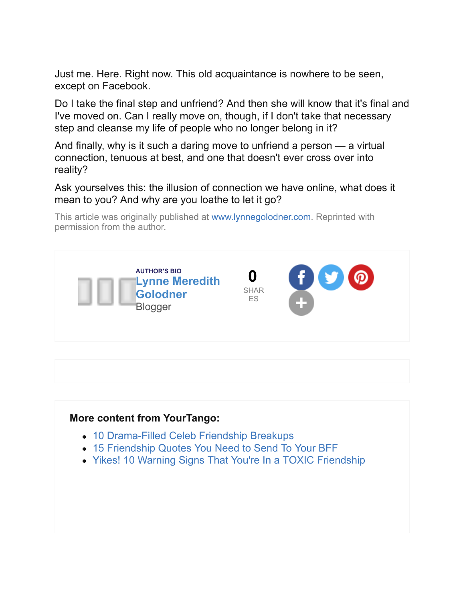Just me. Here. Right now. This old acquaintance is nowhere to be seen, except on Facebook.

Do I take the final step and unfriend? And then she will know that it's final and I've moved on. Can I really move on, though, if I don't take that necessary step and cleanse my life of people who no longer belong in it?

And finally, why is it such a daring move to unfriend a person — a virtual connection, tenuous at best, and one that doesn't ever cross over into reality?

Ask yourselves this: the illusion of connection we have online, what does it mean to you? And why are you loathe to let it go?

This article was originally published at [www.lynnegolodner.com.](http://www.lynnegolodner.com/soul-searching/to-unfriend-or-just-to-hide/) Reprinted with permission from the author.



#### **More content from YourTango:**

- [10 Drama-Filled Celeb Friendship Breakups](http://www.yourtango.com/2014241332/love-lost-10-dramatic-celeb-friendship-breakups)
- [15 Friendship Quotes You Need to Send To Your BFF](http://www.yourtango.com/2014234421/friendship-quotes-send-your-bff)
- [Yikes! 10 Warning Signs That You're In a TOXIC Friendship](http://www.yourtango.com/experts/stephaniem/10-signs-your-friends-are-toxic-you)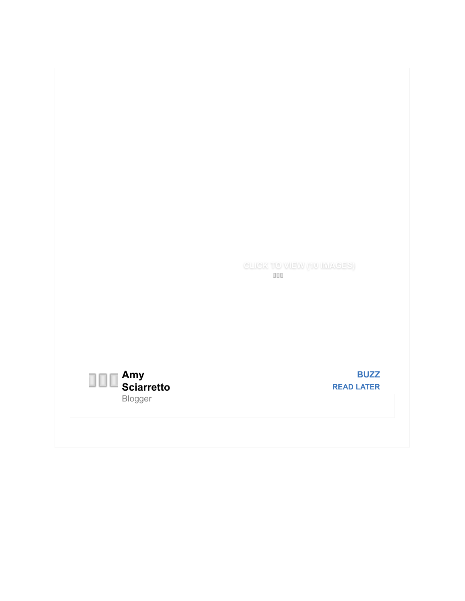

**[BUZZ](http://www.yourtango.com/buzz) [READ LATER](http://www.yourtango.com/2015283461/illusion-of-friendship-online-amazing-and-horrible#)**

**[CLICK TO VIEW \(10 IMAGES\)](http://www.yourtango.com/2014241332/love-lost-10-dramatic-celeb-friendship-breakups)**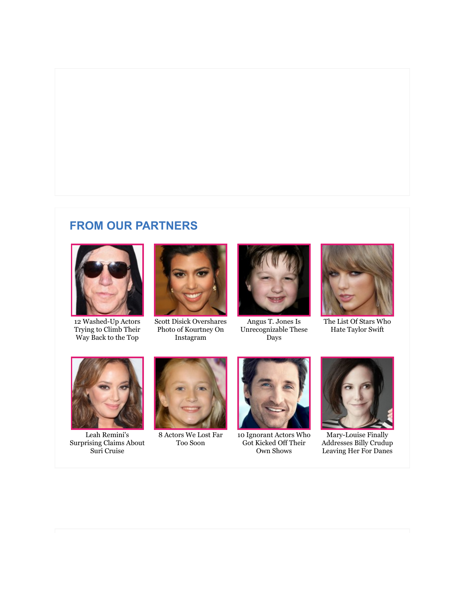## **FROM OUR PARTNERS**



[12 Washed-Up Actors](http://www.zergnet.com/i/840311/13332/0/0/0) Trying to Climb Their Way Back to the Top



[Scott Disick Overshares](http://www.zergnet.com/i/725339/13332/0/0/0) Photo of Kourtney On Instagram



Angus T. Jones Is [Unrecognizable These](http://www.zergnet.com/i/838031/13332/0/0/0) Days



[The List Of Stars Who](http://www.zergnet.com/i/858684/13332/0/0/0) Hate Taylor Swift



Leah Remini's [Surprising Claims About](http://www.zergnet.com/i/754212/13332/0/0/0) Suri Cruise



[8 Actors We Lost Far](http://www.zergnet.com/i/781199/13332/0/0/0) Too Soon



[10 Ignorant Actors Who](http://www.zergnet.com/i/813307/13332/0/0/0) Got Kicked Off Their Own Shows



Mary-Louise Finally [Addresses Billy Crudup](http://www.zergnet.com/i/768708/13332/0/0/0) Leaving Her For Danes